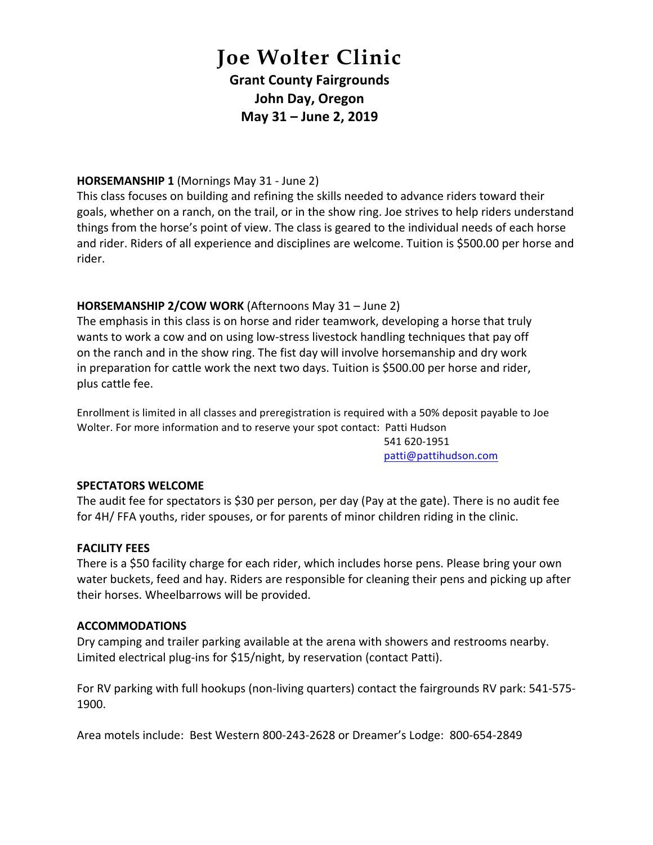# **Joe Wolter Clinic Grant County Fairgrounds John Day, Oregon May 31 – June 2, 2019**

#### **HORSEMANSHIP 1** (Mornings May 31 - June 2)

This class focuses on building and refining the skills needed to advance riders toward their goals, whether on a ranch, on the trail, or in the show ring. Joe strives to help riders understand things from the horse's point of view. The class is geared to the individual needs of each horse and rider. Riders of all experience and disciplines are welcome. Tuition is \$500.00 per horse and rider. 

### **HORSEMANSHIP 2/COW WORK** (Afternoons May 31 – June 2)

The emphasis in this class is on horse and rider teamwork, developing a horse that truly wants to work a cow and on using low-stress livestock handling techniques that pay off on the ranch and in the show ring. The fist day will involve horsemanship and dry work in preparation for cattle work the next two days. Tuition is \$500.00 per horse and rider, plus cattle fee.

Enrollment is limited in all classes and preregistration is required with a 50% deposit payable to Joe Wolter. For more information and to reserve your spot contact: Patti Hudson

541 620-1951 patti@pattihudson.com

#### **SPECTATORS WELCOME**

The audit fee for spectators is \$30 per person, per day (Pay at the gate). There is no audit fee for 4H/ FFA youths, rider spouses, or for parents of minor children riding in the clinic.

#### **FACILITY FEES**

There is a \$50 facility charge for each rider, which includes horse pens. Please bring your own water buckets, feed and hay. Riders are responsible for cleaning their pens and picking up after their horses. Wheelbarrows will be provided.

#### **ACCOMMODATIONS**

Dry camping and trailer parking available at the arena with showers and restrooms nearby. Limited electrical plug-ins for \$15/night, by reservation (contact Patti).

For RV parking with full hookups (non-living quarters) contact the fairgrounds RV park: 541-575-1900.

Area motels include: Best Western 800-243-2628 or Dreamer's Lodge: 800-654-2849